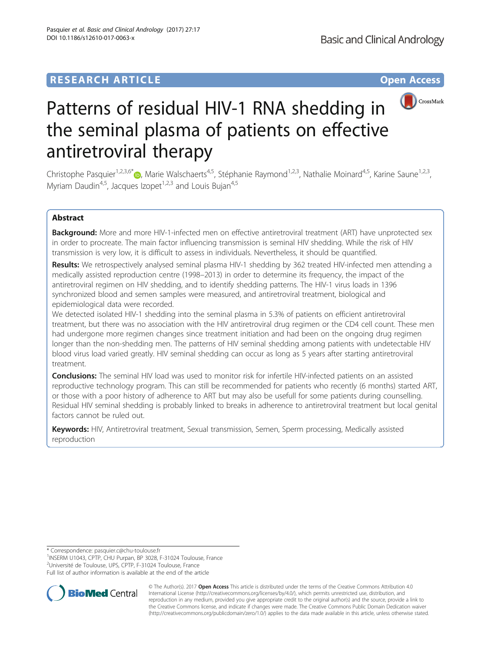# **RESEARCH ARTICLE Example 2018 12:00 Department of the CONNECTION CONNECTION CONNECTION CONNECTION**



# Patterns of residual HIV-1 RNA shedding in the seminal plasma of patients on effective antiretroviral therapy

Christophe Pasquier<sup>1,2,3,6[\\*](http://orcid.org/0000-0001-9223-0150)</sup> $\bullet$ , Marie Walschaerts<sup>4,5</sup>, Stéphanie Raymond<sup>1,2,3</sup>, Nathalie Moinard<sup>4,5</sup>, Karine Saune<sup>1,2,3</sup>, Myriam Daudin<sup>4,5</sup>, Jacques Izopet<sup>1,2,3</sup> and Louis Buian<sup>4,5</sup>

### Abstract

Background: More and more HIV-1-infected men on effective antiretroviral treatment (ART) have unprotected sex in order to procreate. The main factor influencing transmission is seminal HIV shedding. While the risk of HIV transmission is very low, it is difficult to assess in individuals. Nevertheless, it should be quantified.

Results: We retrospectively analysed seminal plasma HIV-1 shedding by 362 treated HIV-infected men attending a medically assisted reproduction centre (1998–2013) in order to determine its frequency, the impact of the antiretroviral regimen on HIV shedding, and to identify shedding patterns. The HIV-1 virus loads in 1396 synchronized blood and semen samples were measured, and antiretroviral treatment, biological and epidemiological data were recorded.

We detected isolated HIV-1 shedding into the seminal plasma in 5.3% of patients on efficient antiretroviral treatment, but there was no association with the HIV antiretroviral drug regimen or the CD4 cell count. These men had undergone more regimen changes since treatment initiation and had been on the ongoing drug regimen longer than the non-shedding men. The patterns of HIV seminal shedding among patients with undetectable HIV blood virus load varied greatly. HIV seminal shedding can occur as long as 5 years after starting antiretroviral treatment.

**Conclusions:** The seminal HIV load was used to monitor risk for infertile HIV-infected patients on an assisted reproductive technology program. This can still be recommended for patients who recently (6 months) started ART, or those with a poor history of adherence to ART but may also be usefull for some patients during counselling. Residual HIV seminal shedding is probably linked to breaks in adherence to antiretroviral treatment but local genital factors cannot be ruled out.

Keywords: HIV, Antiretroviral treatment, Sexual transmission, Semen, Sperm processing, Medically assisted reproduction

\* Correspondence: [pasquier.c@chu-toulouse.fr](mailto:pasquier.c@chu-toulouse.fr) <sup>1</sup>

<sup>1</sup>INSERM U1043, CPTP, CHU Purpan, BP 3028, F-31024 Toulouse, France <sup>2</sup>Université de Toulouse, UPS, CPTP, F-31024 Toulouse, France

Full list of author information is available at the end of the article



© The Author(s). 2017 **Open Access** This article is distributed under the terms of the Creative Commons Attribution 4.0 International License [\(http://creativecommons.org/licenses/by/4.0/](http://creativecommons.org/licenses/by/4.0/)), which permits unrestricted use, distribution, and reproduction in any medium, provided you give appropriate credit to the original author(s) and the source, provide a link to the Creative Commons license, and indicate if changes were made. The Creative Commons Public Domain Dedication waiver [\(http://creativecommons.org/publicdomain/zero/1.0/](http://creativecommons.org/publicdomain/zero/1.0/)) applies to the data made available in this article, unless otherwise stated.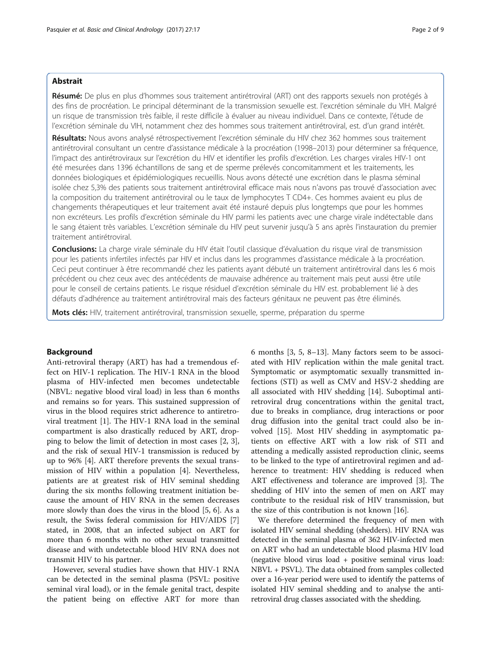#### Abstrait

Résumé: De plus en plus d'hommes sous traitement antirétroviral (ART) ont des rapports sexuels non protégés à des fins de procréation. Le principal déterminant de la transmission sexuelle est. l'excrétion séminale du VIH. Malgré un risque de transmission très faible, il reste difficile à évaluer au niveau individuel. Dans ce contexte, l'étude de l'excrétion séminale du VIH, notamment chez des hommes sous traitement antirétroviral, est. d'un grand intérêt.

Résultats: Nous avons analysé rétrospectivement l'excrétion séminale du HIV chez 362 hommes sous traitement antirétroviral consultant un centre d'assistance médicale à la procréation (1998–2013) pour déterminer sa fréquence, l'impact des antirétroviraux sur l'excrétion du HIV et identifier les profils d'excrétion. Les charges virales HIV-1 ont été mesurées dans 1396 échantillons de sang et de sperme prélevés concomitamment et les traitements, les données biologiques et épidémiologiques recueillis. Nous avons détecté une excrétion dans le plasma séminal isolée chez 5,3% des patients sous traitement antirétroviral efficace mais nous n'avons pas trouvé d'association avec la composition du traitement antirétroviral ou le taux de lymphocytes T CD4+. Ces hommes avaient eu plus de changements thérapeutiques et leur traitement avait été instauré depuis plus longtemps que pour les hommes non excréteurs. Les profils d'excrétion séminale du HIV parmi les patients avec une charge virale indétectable dans le sang étaient très variables. L'excrétion séminale du HIV peut survenir jusqu'à 5 ans après l'instauration du premier traitement antirétroviral.

**Conclusions:** La charge virale séminale du HIV était l'outil classique d'évaluation du risque viral de transmission pour les patients infertiles infectés par HIV et inclus dans les programmes d'assistance médicale à la procréation. Ceci peut continuer à être recommandé chez les patients ayant débuté un traitement antirétroviral dans les 6 mois précédent ou chez ceux avec des antécédents de mauvaise adhérence au traitement mais peut aussi être utile pour le conseil de certains patients. Le risque résiduel d'excrétion séminale du HIV est. probablement lié à des défauts d'adhérence au traitement antirétroviral mais des facteurs génitaux ne peuvent pas être éliminés.

Mots clés: HIV, traitement antirétroviral, transmission sexuelle, sperme, préparation du sperme

#### Background

Anti-retroviral therapy (ART) has had a tremendous effect on HIV-1 replication. The HIV-1 RNA in the blood plasma of HIV-infected men becomes undetectable (NBVL: negative blood viral load) in less than 6 months and remains so for years. This sustained suppression of virus in the blood requires strict adherence to antiretroviral treatment [\[1](#page-7-0)]. The HIV-1 RNA load in the seminal compartment is also drastically reduced by ART, dropping to below the limit of detection in most cases [[2, 3](#page-7-0)], and the risk of sexual HIV-1 transmission is reduced by up to 96% [[4\]](#page-7-0). ART therefore prevents the sexual transmission of HIV within a population [\[4\]](#page-7-0). Nevertheless, patients are at greatest risk of HIV seminal shedding during the six months following treatment initiation because the amount of HIV RNA in the semen decreases more slowly than does the virus in the blood [[5](#page-7-0), [6\]](#page-7-0). As a result, the Swiss federal commission for HIV/AIDS [\[7](#page-7-0)] stated, in 2008, that an infected subject on ART for more than 6 months with no other sexual transmitted disease and with undetectable blood HIV RNA does not transmit HIV to his partner.

However, several studies have shown that HIV-1 RNA can be detected in the seminal plasma (PSVL: positive seminal viral load), or in the female genital tract, despite the patient being on effective ART for more than 6 months [\[3](#page-7-0), [5](#page-7-0), [8](#page-7-0)–[13\]](#page-7-0). Many factors seem to be associated with HIV replication within the male genital tract. Symptomatic or asymptomatic sexually transmitted infections (STI) as well as CMV and HSV-2 shedding are all associated with HIV shedding [[14\]](#page-7-0). Suboptimal antiretroviral drug concentrations within the genital tract, due to breaks in compliance, drug interactions or poor drug diffusion into the genital tract could also be involved [\[15](#page-7-0)]. Most HIV shedding in asymptomatic patients on effective ART with a low risk of STI and attending a medically assisted reproduction clinic, seems to be linked to the type of antiretroviral regimen and adherence to treatment: HIV shedding is reduced when ART effectiveness and tolerance are improved [[3\]](#page-7-0). The shedding of HIV into the semen of men on ART may contribute to the residual risk of HIV transmission, but the size of this contribution is not known [[16\]](#page-7-0).

We therefore determined the frequency of men with isolated HIV seminal shedding (shedders). HIV RNA was detected in the seminal plasma of 362 HIV-infected men on ART who had an undetectable blood plasma HIV load (negative blood virus load + positive seminal virus load: NBVL + PSVL). The data obtained from samples collected over a 16-year period were used to identify the patterns of isolated HIV seminal shedding and to analyse the antiretroviral drug classes associated with the shedding.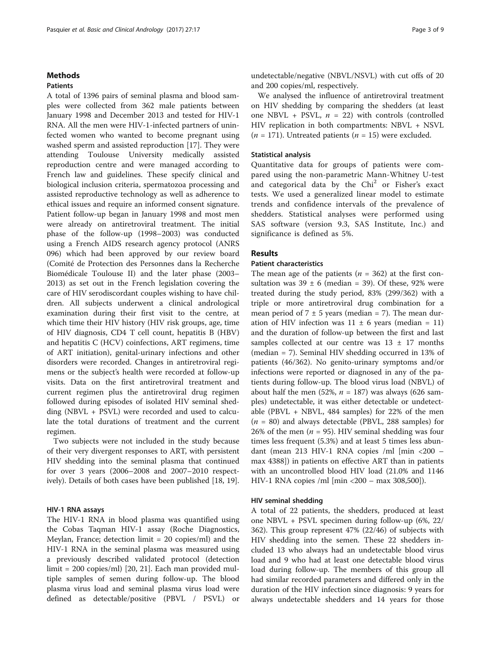#### Methods

#### Patients

A total of 1396 pairs of seminal plasma and blood samples were collected from 362 male patients between January 1998 and December 2013 and tested for HIV-1 RNA. All the men were HIV-1-infected partners of uninfected women who wanted to become pregnant using washed sperm and assisted reproduction [[17](#page-7-0)]. They were attending Toulouse University medically assisted reproduction centre and were managed according to French law and guidelines. These specify clinical and biological inclusion criteria, spermatozoa processing and assisted reproductive technology as well as adherence to ethical issues and require an informed consent signature. Patient follow-up began in January 1998 and most men were already on antiretroviral treatment. The initial phase of the follow-up (1998–2003) was conducted using a French AIDS research agency protocol (ANRS 096) which had been approved by our review board (Comité de Protection des Personnes dans la Recherche Biomédicale Toulouse II) and the later phase (2003– 2013) as set out in the French legislation covering the care of HIV serodiscordant couples wishing to have children. All subjects underwent a clinical andrological examination during their first visit to the centre, at which time their HIV history (HIV risk groups, age, time of HIV diagnosis, CD4 T cell count, hepatitis B (HBV) and hepatitis C (HCV) coinfections, ART regimens, time of ART initiation), genital-urinary infections and other disorders were recorded. Changes in antiretroviral regimens or the subject's health were recorded at follow-up visits. Data on the first antiretroviral treatment and current regimen plus the antiretroviral drug regimen followed during episodes of isolated HIV seminal shedding (NBVL + PSVL) were recorded and used to calculate the total durations of treatment and the current regimen.

Two subjects were not included in the study because of their very divergent responses to ART, with persistent HIV shedding into the seminal plasma that continued for over 3 years (2006–2008 and 2007–2010 respectively). Details of both cases have been published [\[18](#page-7-0), [19\]](#page-7-0).

#### HIV-1 RNA assays

The HIV-1 RNA in blood plasma was quantified using the Cobas Taqman HIV-1 assay (Roche Diagnostics, Meylan, France; detection limit = 20 copies/ml) and the HIV-1 RNA in the seminal plasma was measured using a previously described validated protocol (detection limit = 200 copies/ml) [[20, 21\]](#page-7-0). Each man provided multiple samples of semen during follow-up. The blood plasma virus load and seminal plasma virus load were defined as detectable/positive (PBVL / PSVL) or

undetectable/negative (NBVL/NSVL) with cut offs of 20 and 200 copies/ml, respectively.

We analysed the influence of antiretroviral treatment on HIV shedding by comparing the shedders (at least one NBVL + PSVL,  $n = 22$ ) with controls (controlled HIV replication in both compartments: NBVL + NSVL  $(n = 171)$ . Untreated patients  $(n = 15)$  were excluded.

#### Statistical analysis

Quantitative data for groups of patients were compared using the non-parametric Mann-Whitney U-test and categorical data by the Chi<sup>2</sup> or Fisher's exact tests. We used a generalized linear model to estimate trends and confidence intervals of the prevalence of shedders. Statistical analyses were performed using SAS software (version 9.3, SAS Institute, Inc.) and significance is defined as 5%.

#### Results

#### Patient characteristics

The mean age of the patients ( $n = 362$ ) at the first consultation was  $39 \pm 6$  (median = 39). Of these, 92% were treated during the study period, 83% (299/362) with a triple or more antiretroviral drug combination for a mean period of  $7 \pm 5$  years (median = 7). The mean duration of HIV infection was  $11 \pm 6$  years (median = 11) and the duration of follow-up between the first and last samples collected at our centre was  $13 \pm 17$  months (median = 7). Seminal HIV shedding occurred in 13% of patients (46/362). No genito-urinary symptoms and/or infections were reported or diagnosed in any of the patients during follow-up. The blood virus load (NBVL) of about half the men (52%,  $n = 187$ ) was always (626 samples) undetectable, it was either detectable or undetectable (PBVL  $+$  NBVL, 484 samples) for 22% of the men  $(n = 80)$  and always detectable (PBVL, 288 samples) for 26% of the men ( $n = 95$ ). HIV seminal shedding was four times less frequent (5.3%) and at least 5 times less abundant (mean 213 HIV-1 RNA copies /ml [min <200 – max 4388]) in patients on effective ART than in patients with an uncontrolled blood HIV load (21.0% and 1146 HIV-1 RNA copies /ml [min <200 – max 308,500]).

#### HIV seminal shedding

A total of 22 patients, the shedders, produced at least one NBVL + PSVL specimen during follow-up (6%, 22/ 362). This group represent 47% (22/46) of subjects with HIV shedding into the semen. These 22 shedders included 13 who always had an undetectable blood virus load and 9 who had at least one detectable blood virus load during follow-up. The members of this group all had similar recorded parameters and differed only in the duration of the HIV infection since diagnosis: 9 years for always undetectable shedders and 14 years for those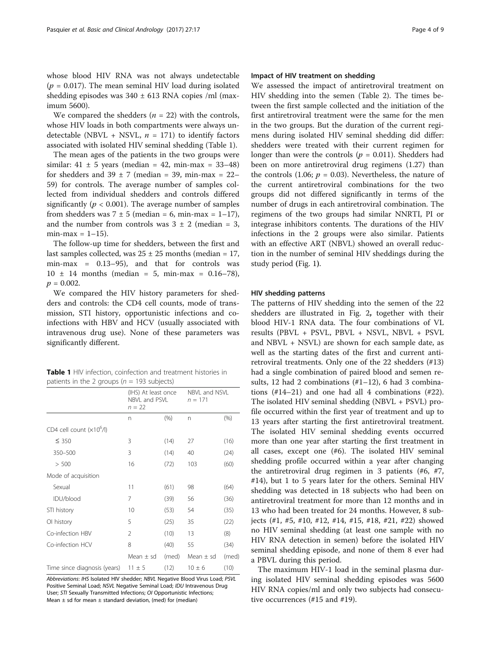whose blood HIV RNA was not always undetectable ( $p = 0.017$ ). The mean seminal HIV load during isolated shedding episodes was  $340 \pm 613$  RNA copies /ml (maximum 5600).

We compared the shedders  $(n = 22)$  with the controls, whose HIV loads in both compartments were always undetectable (NBVL + NSVL,  $n = 171$ ) to identify factors associated with isolated HIV seminal shedding (Table 1).

The mean ages of the patients in the two groups were similar:  $41 \pm 5$  years (median = 42, min-max = 33-48) for shedders and  $39 \pm 7$  (median = 39, min-max = 22– 59) for controls. The average number of samples collected from individual shedders and controls differed significantly ( $p < 0.001$ ). The average number of samples from shedders was  $7 \pm 5$  (median = 6, min-max = 1–17), and the number from controls was  $3 \pm 2$  (median = 3,  $min-max = 1-15$ ).

The follow-up time for shedders, between the first and last samples collected, was  $25 \pm 25$  months (median = 17, min-max = 0.13–95), and that for controls was  $10 \pm 14$  months (median = 5, min-max = 0.16-78),  $p = 0.002$ .

We compared the HIV history parameters for shedders and controls: the CD4 cell counts, mode of transmission, STI history, opportunistic infections and coinfections with HBV and HCV (usually associated with intravenous drug use). None of these parameters was significantly different.

Table 1 HIV infection, coinfection and treatment histories in patients in the 2 groups ( $n = 193$  subjects)

|                              | (IHS) At least once<br>NBVL and PSVL<br>$n = 22$ |       | NBVL and NSVL<br>$n = 171$ |         |
|------------------------------|--------------------------------------------------|-------|----------------------------|---------|
|                              | n                                                | (% )  | n                          | $(\% )$ |
| CD4 cell count $(x106/I)$    |                                                  |       |                            |         |
| $\leq 350$                   | 3                                                | (14)  | 27                         | (16)    |
| 350-500                      | 3                                                | (14)  | 40                         | (24)    |
| > 500                        | 16                                               | (72)  | 103                        | (60)    |
| Mode of acquisition          |                                                  |       |                            |         |
| Sexual                       | 11                                               | (61)  | 98                         | (64)    |
| IDU/blood                    | 7                                                | (39)  | 56                         | (36)    |
| STI history                  | 10                                               | (53)  | 54                         | (35)    |
| OI history                   | 5                                                | (25)  | 35                         | (22)    |
| Co-infection HBV             | 2                                                | (10)  | 13                         | (8)     |
| Co-infection HCV             | 8                                                | (40)  | 55                         | (34)    |
|                              | Mean $\pm$ sd                                    | (med) | Mean $\pm$ sd              | (med)   |
| Time since diagnosis (years) | $11 \pm 5$                                       | (12)  | $10 \pm 6$                 | (10)    |

Abbreviations: IHS Isolated HIV shedder; NBVL Negative Blood Virus Load; PSVL Positive Seminal Load; NSVL Negative Seminal Load; IDU Intravenous Drug User; STI Sexually Transmitted Infections; OI Opportunistic Infections; Mean  $\pm$  sd for mean  $\pm$  standard deviation, (med) for (median)

#### Impact of HIV treatment on shedding

We assessed the impact of antiretroviral treatment on HIV shedding into the semen (Table [2](#page-4-0)). The times between the first sample collected and the initiation of the first antiretroviral treatment were the same for the men in the two groups. But the duration of the current regimens during isolated HIV seminal shedding did differ: shedders were treated with their current regimen for longer than were the controls ( $p = 0.011$ ). Shedders had been on more antiretroviral drug regimens (1.27) than the controls (1.06;  $p = 0.03$ ). Nevertheless, the nature of the current antiretroviral combinations for the two groups did not differed significantly in terms of the number of drugs in each antiretroviral combination. The regimens of the two groups had similar NNRTI, PI or integrase inhibitors contents. The durations of the HIV infections in the 2 groups were also similar. Patients with an effective ART (NBVL) showed an overall reduction in the number of seminal HIV sheddings during the study period (Fig. [1](#page-4-0)).

#### HIV shedding patterns

The patterns of HIV shedding into the semen of the 22 shedders are illustrated in Fig. [2](#page-5-0), together with their blood HIV-1 RNA data. The four combinations of VL results (PBVL + PSVL, PBVL + NSVL, NBVL + PSVL and NBVL + NSVL) are shown for each sample date, as well as the starting dates of the first and current antiretroviral treatments. Only one of the 22 shedders (#13) had a single combination of paired blood and semen results, 12 had 2 combinations  $(\#1-12)$ , 6 had 3 combinations  $(\#14-21)$  and one had all 4 combinations  $(\#22)$ . The isolated HIV seminal shedding (NBVL + PSVL) profile occurred within the first year of treatment and up to 13 years after starting the first antiretroviral treatment. The isolated HIV seminal shedding events occurred more than one year after starting the first treatment in all cases, except one (#6). The isolated HIV seminal shedding profile occurred within a year after changing the antiretroviral drug regimen in 3 patients (#6, #7, #14), but 1 to 5 years later for the others. Seminal HIV shedding was detected in 18 subjects who had been on antiretroviral treatment for more than 12 months and in 13 who had been treated for 24 months. However, 8 subjects (#1, #5, #10, #12, #14, #15, #18, #21, #22) showed no HIV seminal shedding (at least one sample with no HIV RNA detection in semen) before the isolated HIV seminal shedding episode, and none of them 8 ever had a PBVL during this period.

The maximum HIV-1 load in the seminal plasma during isolated HIV seminal shedding episodes was 5600 HIV RNA copies/ml and only two subjects had consecutive occurrences (#15 and #19).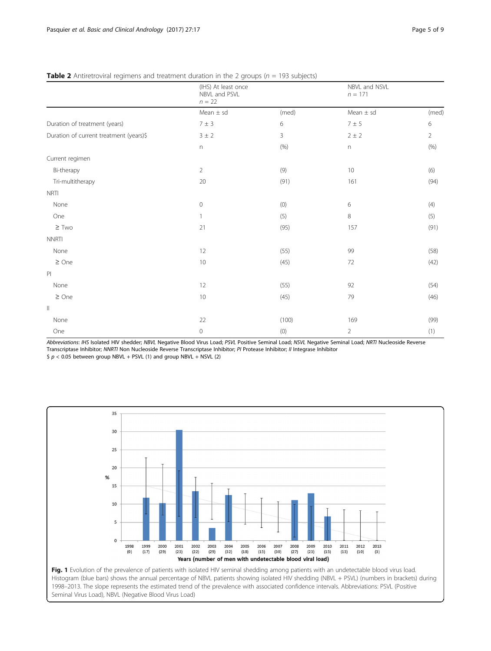|                                         | (IHS) At least once<br>NBVL and PSVL<br>$n = 22$ |              | NBVL and NSVL<br>$n = 171$ |                |
|-----------------------------------------|--------------------------------------------------|--------------|----------------------------|----------------|
|                                         | Mean $\pm$ sd                                    | (med)        | Mean $\pm$ sd              | (med)          |
| Duration of treatment (years)           | $7\pm3$                                          | 6            | $7\pm5$                    | 6              |
| Duration of current treatment (years)\$ | 3 ± 2                                            | $\mathbf{3}$ | $2\pm2$                    | $\overline{2}$ |
|                                         | $\mathsf{n}$                                     | (% )         | $\boldsymbol{\mathsf{n}}$  | (% )           |
| Current regimen                         |                                                  |              |                            |                |
| Bi-therapy                              | $\overline{2}$                                   | (9)          | 10                         | (6)            |
| Tri-multitherapy                        | 20                                               | (91)         | 161                        | (94)           |
| <b>NRTI</b>                             |                                                  |              |                            |                |
| None                                    | $\mathbf 0$                                      | (0)          | 6                          | (4)            |
| One                                     | $\mathbf{1}$                                     | (5)          | 8                          | (5)            |
| $\geq$ Two                              | 21                                               | (95)         | 157                        | (91)           |
| <b>NNRTI</b>                            |                                                  |              |                            |                |
| None                                    | 12                                               | (55)         | 99                         | (58)           |
| $\geq$ One                              | 10                                               | (45)         | 72                         | (42)           |
| P                                       |                                                  |              |                            |                |
| None                                    | $12 \,$                                          | (55)         | 92                         | (54)           |
| $\geq$ One                              | 10                                               | (45)         | 79                         | (46)           |
| $\mathop{\rm II}$                       |                                                  |              |                            |                |
| None                                    | 22                                               | (100)        | 169                        | (99)           |
| One                                     | 0                                                | (0)          | $\overline{2}$             | (1)            |

#### <span id="page-4-0"></span>**Table 2** Antiretroviral regimens and treatment duration in the 2 groups ( $n = 193$  subjects)

Abbreviations: IHS Isolated HIV shedder; NBVL Negative Blood Virus Load; PSVL Positive Seminal Load; NSVL Negative Seminal Load; NRTI Nucleoside Reverse Transcriptase Inhibitor; NNRTI Non Nucleoside Reverse Transcriptase Inhibitor; PI Protease Inhibitor; II Integrase Inhibitor

 $$ p < 0.05$  between group NBVL + PSVL (1) and group NBVL + NSVL (2)

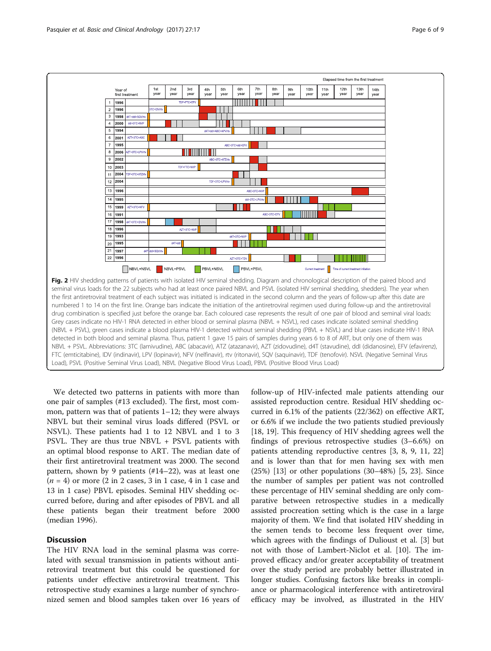<span id="page-5-0"></span>

We detected two patterns in patients with more than one pair of samples (#13 excluded). The first, most common, pattern was that of patients 1–12; they were always NBVL but their seminal virus loads differed (PSVL or NSVL). These patients had 1 to 12 NBVL and 1 to 3 PSVL. They are thus true NBVL + PSVL patients with an optimal blood response to ART. The median date of their first antiretroviral treatment was 2000. The second pattern, shown by 9 patients (#14–22), was at least one  $(n = 4)$  or more  $(2 \text{ in } 2 \text{ cases}, 3 \text{ in } 1 \text{ case}, 4 \text{ in } 1 \text{ case}$  and 13 in 1 case) PBVL episodes. Seminal HIV shedding occurred before, during and after episodes of PBVL and all these patients began their treatment before 2000 (median 1996).

#### **Discussion**

The HIV RNA load in the seminal plasma was correlated with sexual transmission in patients without antiretroviral treatment but this could be questioned for patients under effective antiretroviral treatment. This retrospective study examines a large number of synchronized semen and blood samples taken over 16 years of

follow-up of HIV-infected male patients attending our assisted reproduction centre. Residual HIV shedding occurred in 6.1% of the patients (22/362) on effective ART, or 6.6% if we include the two patients studied previously [[18, 19\]](#page-7-0). This frequency of HIV shedding agrees well the findings of previous retrospective studies (3–6.6%) on patients attending reproductive centres [[3, 8](#page-7-0), [9](#page-7-0), [11](#page-7-0), [22](#page-7-0)] and is lower than that for men having sex with men (25%) [[13\]](#page-7-0) or other populations (30–48%) [[5, 23\]](#page-7-0). Since the number of samples per patient was not controlled these percentage of HIV seminal shedding are only comparative between retrospective studies in a medically assisted procreation setting which is the case in a large majority of them. We find that isolated HIV shedding in the semen tends to become less frequent over time, which agrees with the findings of Dulioust et al. [\[3](#page-7-0)] but not with those of Lambert-Niclot et al. [\[10](#page-7-0)]. The improved efficacy and/or greater acceptability of treatment over the study period are probably better illustrated in longer studies. Confusing factors like breaks in compliance or pharmacological interference with antiretroviral efficacy may be involved, as illustrated in the HIV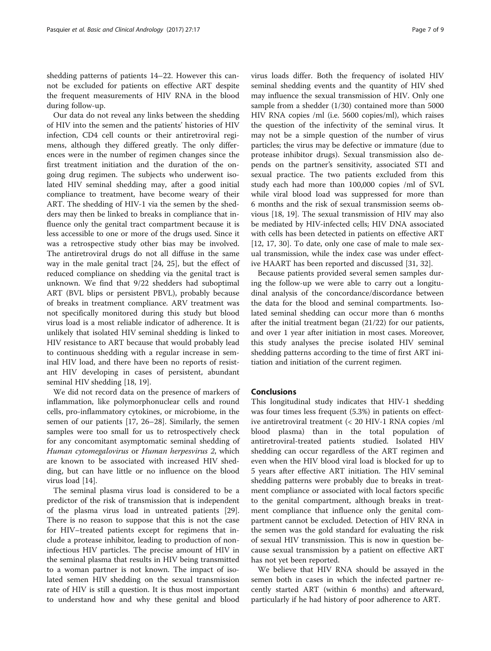shedding patterns of patients 14–22. However this cannot be excluded for patients on effective ART despite the frequent measurements of HIV RNA in the blood during follow-up.

Our data do not reveal any links between the shedding of HIV into the semen and the patients' histories of HIV infection, CD4 cell counts or their antiretroviral regimens, although they differed greatly. The only differences were in the number of regimen changes since the first treatment initiation and the duration of the ongoing drug regimen. The subjects who underwent isolated HIV seminal shedding may, after a good initial compliance to treatment, have become weary of their ART. The shedding of HIV-1 via the semen by the shedders may then be linked to breaks in compliance that influence only the genital tract compartment because it is less accessible to one or more of the drugs used. Since it was a retrospective study other bias may be involved. The antiretroviral drugs do not all diffuse in the same way in the male genital tract [\[24](#page-7-0), [25](#page-7-0)], but the effect of reduced compliance on shedding via the genital tract is unknown. We find that 9/22 shedders had suboptimal ART (BVL blips or persistent PBVL), probably because of breaks in treatment compliance. ARV treatment was not specifically monitored during this study but blood virus load is a most reliable indicator of adherence. It is unlikely that isolated HIV seminal shedding is linked to HIV resistance to ART because that would probably lead to continuous shedding with a regular increase in seminal HIV load, and there have been no reports of resistant HIV developing in cases of persistent, abundant seminal HIV shedding [\[18](#page-7-0), [19](#page-7-0)].

We did not record data on the presence of markers of inflammation, like polymorphonuclear cells and round cells, pro-inflammatory cytokines, or microbiome, in the semen of our patients [\[17](#page-7-0), [26](#page-7-0)–[28\]](#page-8-0). Similarly, the semen samples were too small for us to retrospectively check for any concomitant asymptomatic seminal shedding of Human cytomegalovirus or Human herpesvirus 2, which are known to be associated with increased HIV shedding, but can have little or no influence on the blood virus load [[14\]](#page-7-0).

The seminal plasma virus load is considered to be a predictor of the risk of transmission that is independent of the plasma virus load in untreated patients [\[29](#page-8-0)]. There is no reason to suppose that this is not the case for HIV–treated patients except for regimens that include a protease inhibitor, leading to production of noninfectious HIV particles. The precise amount of HIV in the seminal plasma that results in HIV being transmitted to a woman partner is not known. The impact of isolated semen HIV shedding on the sexual transmission rate of HIV is still a question. It is thus most important to understand how and why these genital and blood virus loads differ. Both the frequency of isolated HIV seminal shedding events and the quantity of HIV shed may influence the sexual transmission of HIV. Only one sample from a shedder (1/30) contained more than 5000 HIV RNA copies /ml (i.e. 5600 copies/ml), which raises the question of the infectivity of the seminal virus. It may not be a simple question of the number of virus particles; the virus may be defective or immature (due to protease inhibitor drugs). Sexual transmission also depends on the partner's sensitivity, associated STI and sexual practice. The two patients excluded from this study each had more than 100,000 copies /ml of SVL while viral blood load was suppressed for more than 6 months and the risk of sexual transmission seems obvious [[18](#page-7-0), [19\]](#page-7-0). The sexual transmission of HIV may also be mediated by HIV-infected cells; HIV DNA associated with cells has been detected in patients on effective ART [[12, 17,](#page-7-0) [30](#page-8-0)]. To date, only one case of male to male sexual transmission, while the index case was under effective HAART has been reported and discussed [\[31, 32\]](#page-8-0).

Because patients provided several semen samples during the follow-up we were able to carry out a longitudinal analysis of the concordance/discordance between the data for the blood and seminal compartments. Isolated seminal shedding can occur more than 6 months after the initial treatment began (21/22) for our patients, and over 1 year after initiation in most cases. Moreover, this study analyses the precise isolated HIV seminal shedding patterns according to the time of first ART initiation and initiation of the current regimen.

#### Conclusions

This longitudinal study indicates that HIV-1 shedding was four times less frequent (5.3%) in patients on effective antiretroviral treatment (< 20 HIV-1 RNA copies /ml blood plasma) than in the total population of antiretroviral-treated patients studied. Isolated HIV shedding can occur regardless of the ART regimen and even when the HIV blood viral load is blocked for up to 5 years after effective ART initiation. The HIV seminal shedding patterns were probably due to breaks in treatment compliance or associated with local factors specific to the genital compartment, although breaks in treatment compliance that influence only the genital compartment cannot be excluded. Detection of HIV RNA in the semen was the gold standard for evaluating the risk of sexual HIV transmission. This is now in question because sexual transmission by a patient on effective ART has not yet been reported.

We believe that HIV RNA should be assayed in the semen both in cases in which the infected partner recently started ART (within 6 months) and afterward, particularly if he had history of poor adherence to ART.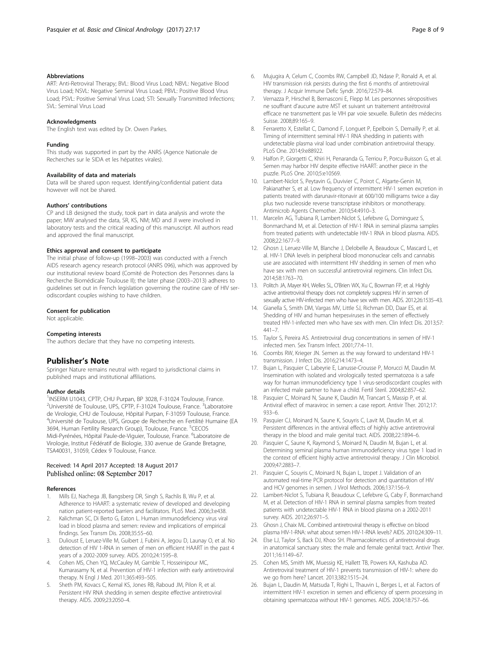#### <span id="page-7-0"></span>Abbreviations

ART: Anti-Retroviral Therapy; BVL: Blood Virus Load; NBVL: Negative Blood Virus Load; NSVL: Negative Seminal Virus Load; PBVL: Positive Blood Virus Load; PSVL: Positive Seminal Virus Load; STI: Sexually Transmitted Infections; SVL: Seminal Virus Load

#### Acknowledgments

The English text was edited by Dr. Owen Parkes.

#### Funding

This study was supported in part by the ANRS (Agence Nationale de Recherches sur le SIDA et les hépatites virales).

#### Availability of data and materials

Data will be shared upon request. Identifying/confidential patient data however will not be shared.

#### Authors' contributions

CP and LB designed the study, took part in data analysis and wrote the paper; MW analysed the data, SR, KS, NM; MD and JI were involved in laboratory tests and the critical reading of this manuscript. All authors read and approved the final manuscript.

#### Ethics approval and consent to participate

The initial phase of follow-up (1998–2003) was conducted with a French AIDS research agency research protocol (ANRS 096), which was approved by our institutional review board (Comité de Protection des Personnes dans la Recherche Biomédicale Toulouse II); the later phase (2003–2013) adheres to guidelines set out in French legislation governing the routine care of HIV serodiscordant couples wishing to have children.

#### Consent for publication

Not applicable.

#### Competing interests

The authors declare that they have no competing interests.

#### Publisher's Note

Springer Nature remains neutral with regard to jurisdictional claims in published maps and institutional affiliations.

#### Author details

<sup>1</sup>INSERM U1043, CPTP, CHU Purpan, BP 3028, F-31024 Toulouse, France. <sup>2</sup>Université de Toulouse, UPS, CPTP, F-31024 Toulouse, France. <sup>3</sup>Laboratoire de Virologie, CHU de Toulouse, Hôpital Purpan, F-31059 Toulouse, France. <sup>4</sup>Université de Toulouse, UPS, Groupe de Recherche en Fertilité Humaine (EA 3694, Human Fertility Research Group), Toulouse, France. <sup>5</sup>CECOS Midi-Pyrénées, Hôpital Paule-de-Viguier, Toulouse, France. <sup>6</sup>Laboratoire de Virologie, Institut Fédératif de Biologie, 330 avenue de Grande Bretagne, TSA40031, 31059, Cédex 9 Toulouse, France.

#### Received: 14 April 2017 Accepted: 18 August 2017 Published online: 08 September 2017

#### References

- 1. Mills EJ, Nachega JB, Bangsberg DR, Singh S, Rachlis B, Wu P, et al. Adherence to HAART: a systematic review of developed and developing nation patient-reported barriers and facilitators. PLoS Med. 2006;3:e438.
- Kalichman SC, Di Berto G, Eaton L. Human immunodeficiency virus viral load in blood plasma and semen: review and implications of empirical findings. Sex Transm Dis. 2008;35:55–60.
- 3. Dulioust E, Leruez-Ville M, Guibert J, Fubini A, Jegou D, Launay O, et al. No detection of HIV 1-RNA in semen of men on efficient HAART in the past 4 years of a 2002-2009 survey. AIDS. 2010;24:1595–8.
- 4. Cohen MS, Chen YQ, McCauley M, Gamble T, Hosseinipour MC, Kumarasamy N, et al. Prevention of HIV-1 infection with early antiretroviral therapy. N Engl J Med. 2011;365:493–505.
- 5. Sheth PM, Kovacs C, Kemal KS, Jones RB, Raboud JM, Pilon R, et al. Persistent HIV RNA shedding in semen despite effective antiretroviral therapy. AIDS. 2009;23:2050–4.
- 6. Mujugira A, Celum C, Coombs RW, Campbell JD, Ndase P, Ronald A, et al. HIV transmission risk persists during the first 6 months of antiretroviral therapy. J Acquir Immune Defic Syndr. 2016;72:579–84.
- 7. Vernazza P, Hirschel B, Bernasconi E, Flepp M. Les personnes séropositives ne souffrant d'aucune autre MST et suivant un traitement antirétroviral efficace ne transmettent pas le VIH par voie sexuelle. Bulletin des médecins Suisse. 2008;89:165–9.
- 8. Ferraretto X, Estellat C, Damond F, Longuet P, Epelboin S, Demailly P, et al. Timing of intermittent seminal HIV-1 RNA shedding in patients with undetectable plasma viral load under combination antiretroviral therapy. PLoS One. 2014;9:e88922.
- 9. Halfon P, Giorgetti C, Khiri H, Penaranda G, Terriou P, Porcu-Buisson G, et al. Semen may harbor HIV despite effective HAART: another piece in the puzzle. PLoS One. 2010;5:e10569.
- 10. Lambert-Niclot S, Peytavin G, Duvivier C, Poirot C, Algarte-Genin M, Pakianather S, et al. Low frequency of intermittent HIV-1 semen excretion in patients treated with darunavir-ritonavir at 600/100 milligrams twice a day plus two nucleoside reverse transcriptase inhibitors or monotherapy. Antimicrob Agents Chemother. 2010;54:4910–3.
- 11. Marcelin AG, Tubiana R, Lambert-Niclot S, Lefebvre G, Dominguez S, Bonmarchand M, et al. Detection of HIV-1 RNA in seminal plasma samples from treated patients with undetectable HIV-1 RNA in blood plasma. AIDS. 2008;22:1677–9.
- 12. Ghosn J, Leruez-Ville M, Blanche J, Delobelle A, Beaudoux C, Mascard L, et al. HIV-1 DNA levels in peripheral blood mononuclear cells and cannabis use are associated with intermittent HIV shedding in semen of men who have sex with men on successful antiretroviral regimens. Clin Infect Dis. 2014;58:1763–70.
- 13. Politch JA, Mayer KH, Welles SL, O'Brien WX, Xu C, Bowman FP, et al. Highly active antiretroviral therapy does not completely suppress HIV in semen of sexually active HIV-infected men who have sex with men. AIDS. 2012;26:1535–43.
- 14. Gianella S, Smith DM, Vargas MV, Little SJ, Richman DD, Daar ES, et al. Shedding of HIV and human herpesviruses in the semen of effectively treated HIV-1-infected men who have sex with men. Clin Infect Dis. 2013;57: 441–7.
- 15. Taylor S, Pereira AS. Antiretroviral drug concentrations in semen of HIV-1 infected men. Sex Transm Infect. 2001;77:4–11.
- 16. Coombs RW, Krieger JN. Semen as the way forward to understand HIV-1 transmission. J Infect Dis. 2016;214:1473–4.
- 17. Bujan L, Pasquier C, Labeyrie E, Lanusse-Crousse P, Morucci M, Daudin M. Insemination with isolated and virologically tested spermatozoa is a safe way for human immunodeficiency type 1 virus-serodiscordant couples with an infected male partner to have a child. Fertil Steril. 2004;82:857–62.
- 18. Pasquier C, Moinard N, Saune K, Daudin M, Trancart S, Massip P, et al. Antiviral effect of maraviroc in semen: a case report. Antivir Ther. 2012;17: 933–6.
- 19. Pasquier CJ, Moinard N, Saune K, Souyris C, Lavit M, Daudin M, et al. Persistent differences in the antiviral effects of highly active antiretroviral therapy in the blood and male genital tract. AIDS. 2008;22:1894–6.
- 20. Pasquier C, Saune K, Raymond S, Moinard N, Daudin M, Bujan L, et al. Determining seminal plasma human immunodeficiency virus type 1 load in the context of efficient highly active antiretroviral therapy. J Clin Microbiol. 2009;47:2883–7.
- 21. Pasquier C, Souyris C, Moinard N, Bujan L, Izopet J. Validation of an automated real-time PCR protocol for detection and quantitation of HIV and HCV genomes in semen. J Virol Methods. 2006;137:156–9.
- 22. Lambert-Niclot S, Tubiana R, Beaudoux C, Lefebvre G, Caby F, Bonmarchand M, et al. Detection of HIV-1 RNA in seminal plasma samples from treated patients with undetectable HIV-1 RNA in blood plasma on a 2002-2011 survey. AIDS. 2012;26:971–5.
- 23. Ghosn J, Chaix ML. Combined antiretroviral therapy is effective on blood plasma HIV-1-RNA: what about semen HIV-1-RNA levels? AIDS. 2010;24:309–11.
- 24. Else LJ, Taylor S, Back DJ, Khoo SH. Pharmacokinetics of antiretroviral drugs in anatomical sanctuary sites: the male and female genital tract. Antivir Ther. 2011;16:1149–67.
- 25. Cohen MS, Smith MK, Muessig KE, Hallett TB, Powers KA, Kashuba AD. Antiretroviral treatment of HIV-1 prevents transmission of HIV-1: where do we go from here? Lancet. 2013;382:1515–24.
- 26. Bujan L, Daudin M, Matsuda T, Righi L, Thauvin L, Berges L, et al. Factors of intermittent HIV-1 excretion in semen and efficiency of sperm processing in obtaining spermatozoa without HIV-1 genomes. AIDS. 2004;18:757–66.